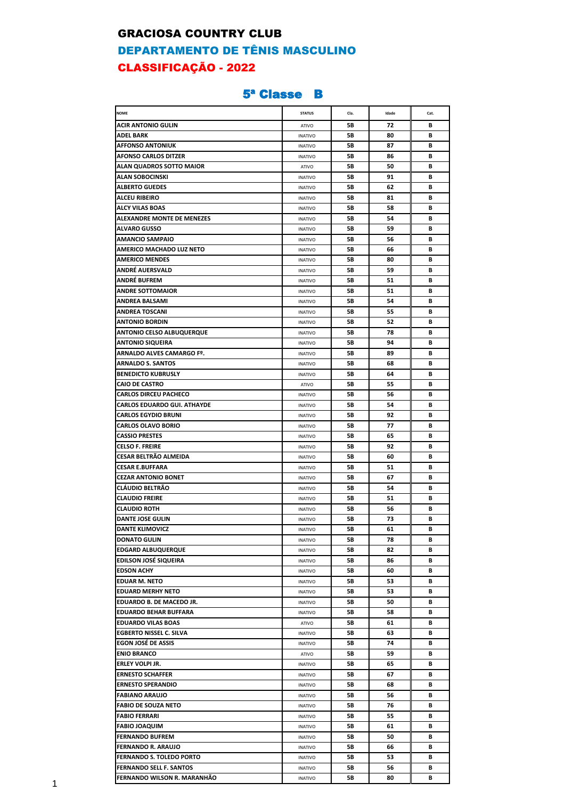#### GRACIOSA COUNTRY CLUB

# DEPARTAMENTO DE TÊNIS MASCULINO CLASSIFICAÇÃO - 2022

### 5ª Classe B

| <b>NOME</b>                      | <b>STATUS</b>  | Cla. | Idade | Cat. |
|----------------------------------|----------------|------|-------|------|
| <b>ACIR ANTONIO GULIN</b>        | ATIVO          | 5Β   | 72    | В    |
| ADEL BARK                        | <b>INATIVO</b> | 5В   | 80    | В    |
| <b>AFFONSO ANTONIUK</b>          | <b>INATIVO</b> | 5Β   | 87    | В    |
| <b>AFONSO CARLOS DITZER</b>      | <b>INATIVO</b> | 5Β   | 86    | В    |
| ALAN QUADROS SOTTO MAIOR         | ATIVO          | 5В   | 50    | В    |
| <b>ALAN SOBOCINSKI</b>           | <b>INATIVO</b> | 5Β   | 91    | В    |
| <b>ALBERTO GUEDES</b>            | <b>INATIVO</b> | 5Β   | 62    | В    |
| ALCEU RIBEIRO                    | <b>INATIVO</b> | 5В   | 81    | В    |
| <b>ALCY VILAS BOAS</b>           | <b>INATIVO</b> | 5В   | 58    | В    |
| ALEXANDRE MONTE DE MENEZES       | <b>INATIVO</b> | 5Β   | 54    | В    |
| <b>ALVARO GUSSO</b>              | <b>INATIVO</b> | 5Β   | 59    | В    |
| <b>AMANCIO SAMPAIO</b>           | <b>INATIVO</b> | 5Β   | 56    | В    |
| AMERICO MACHADO LUZ NETO         | <b>INATIVO</b> | 5Β   | 66    | В    |
| <b>AMERICO MENDES</b>            | <b>INATIVO</b> | 5Β   | 80    | В    |
| ANDRÉ AUERSVALD                  | <b>INATIVO</b> | 5В   | 59    | В    |
| ANDRÉ BUFREM                     | <b>INATIVO</b> | 5Β   | 51    | В    |
| <b>ANDRE SOTTOMAIOR</b>          | <b>INATIVO</b> | 5В   | 51    | В    |
| ANDREA BALSAMI                   | <b>INATIVO</b> | 5В   | 54    | В    |
| ANDREA TOSCANI                   | <b>INATIVO</b> | 5В   | 55    | В    |
| <b>ANTONIO BORDIN</b>            | <b>INATIVO</b> | 5В   | 52    | В    |
| <b>ANTONIO CELSO ALBUQUERQUE</b> | <b>INATIVO</b> | 5В   | 78    | В    |
| <b>ANTONIO SIQUEIRA</b>          | <b>INATIVO</b> | 5В   | 94    | В    |
| ARNALDO ALVES CAMARGO Fº.        | <b>INATIVO</b> | 5В   | 89    | В    |
| ARNALDO S. SANTOS                | <b>INATIVO</b> | 5Β   | 68    | В    |
| <b>BENEDICTO KUBRUSLY</b>        | <b>INATIVO</b> | 5Β   | 64    | В    |
| <b>CAIO DE CASTRO</b>            | ATIVO          | 5В   | 55    | В    |
| <b>CARLOS DIRCEU PACHECO</b>     | <b>INATIVO</b> | 5Β   | 56    | В    |
| CARLOS EDUARDO GUI. ATHAYDE      | <b>INATIVO</b> | 5Β   | 54    | В    |
| <b>CARLOS EGYDIO BRUNI</b>       | <b>INATIVO</b> | 5Β   | 92    | В    |
| <b>CARLOS OLAVO BORIO</b>        | <b>INATIVO</b> | 5Β   | 77    | В    |
| <b>CASSIO PRESTES</b>            | <b>INATIVO</b> | 5Β   | 65    | В    |
| <b>CELSO F. FREIRE</b>           | <b>INATIVO</b> | 5Β   | 92    | В    |
| CESAR BELTRÃO ALMEIDA            | <b>INATIVO</b> | 5В   | 60    | В    |
| <b>CESAR E.BUFFARA</b>           | <b>INATIVO</b> | 5В   | 51    | В    |
| <b>CEZAR ANTONIO BONET</b>       | <b>INATIVO</b> | 5Β   | 67    | В    |
| <b>CLÁUDIO BELTRÃO</b>           | <b>INATIVO</b> | 5Β   | 54    | В    |
| <b>CLAUDIO FREIRE</b>            | <b>INATIVO</b> | 5В   | 51    | В    |
| <b>CLAUDIO ROTH</b>              | <b>INATIVO</b> | 5Β   | 56    | В    |
| <b>DANTE JOSE GULIN</b>          | <b>INATIVO</b> | 5Β   | 73    | В    |
| <b>DANTE KLIMOVICZ</b>           | <b>INATIVO</b> | 5Β   | 61    | В    |
| <b>DONATO GULIN</b>              | <b>INATIVO</b> | 5В   | 78    | В    |
| <b>EDGARD ALBUQUERQUE</b>        | <b>INATIVO</b> | 5В   | 82    | В    |
| <b>EDILSON JOSÉ SIQUEIRA</b>     | <b>INATIVO</b> | 5В   | 86    | В    |
| <b>EDSON ACHY</b>                | <b>INATIVO</b> | 5В   | 60    | В    |
| <b>EDUAR M. NETO</b>             | <b>INATIVO</b> | 5В   | 53    | В    |
| <b>EDUARD MERHY NETO</b>         | <b>INATIVO</b> | 5В   | 53    | В    |
| EDUARDO B. DE MACEDO JR.         | <b>INATIVO</b> | 5В   | 50    | В    |
| <b>EDUARDO BEHAR BUFFARA</b>     | <b>INATIVO</b> | 5В   | 58    | В    |
| <b>EDUARDO VILAS BOAS</b>        | ATIVO          | 5В   | 61    | В    |
| <b>EGBERTO NISSEL C. SILVA</b>   | <b>INATIVO</b> | 5В   | 63    | В    |
| <b>EGON JOSÉ DE ASSIS</b>        | <b>INATIVO</b> | 5В   | 74    | В    |
| <b>ENIO BRANCO</b>               | ATIVO          | 5В   | 59    | В    |
| <b>ERLEY VOLPI JR.</b>           | <b>INATIVO</b> | 5В   | 65    | В    |
| <b>ERNESTO SCHAFFER</b>          | <b>INATIVO</b> | 5В   | 67    | В    |
| <b>ERNESTO SPERANDIO</b>         | <b>INATIVO</b> | 5В   | 68    | В    |
| <b>FABIANO ARAUJO</b>            | <b>INATIVO</b> | 5В   | 56    | В    |
| <b>FABIO DE SOUZA NETO</b>       | <b>INATIVO</b> | 5В   | 76    | В    |
| <b>FABIO FERRARI</b>             | <b>INATIVO</b> | 5В   | 55    | В    |
| <b>FABIO JOAQUIM</b>             | <b>INATIVO</b> | 5В   | 61    | В    |
| <b>FERNANDO BUFREM</b>           | <b>INATIVO</b> | 5В   | 50    | В    |
| <b>FERNANDO R. ARAUJO</b>        | <b>INATIVO</b> | 5В   | 66    | В    |
| <b>FERNANDO S. TOLEDO PORTO</b>  | <b>INATIVO</b> | 5В   | 53    | В    |
| <b>FERNANDO SELL F. SANTOS</b>   | <b>INATIVO</b> | 5В   | 56    | В    |
| FERNANDO WILSON R. MARANHÃO      | <b>INATIVO</b> | 5В   | 80    | В    |
|                                  |                |      |       |      |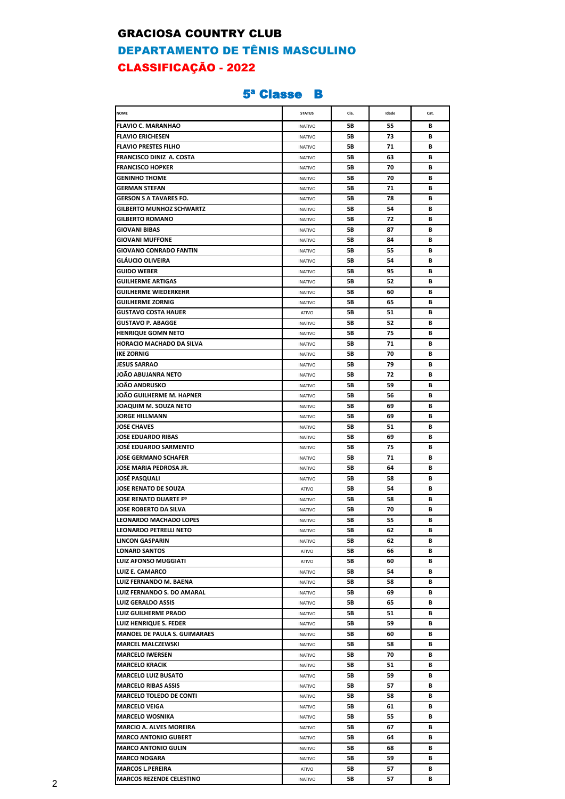#### GRACIOSA COUNTRY CLUB

# DEPARTAMENTO DE TÊNIS MASCULINO CLASSIFICAÇÃO - 2022

### 5ª Classe B

| <b>NOME</b>                         | <b>STATUS</b>  | Cla. | Idade | Cat. |
|-------------------------------------|----------------|------|-------|------|
|                                     |                |      |       |      |
| <b>FLAVIO C. MARANHAO</b>           | <b>INATIVO</b> | 5В   | 55    | в    |
| <b>FLAVIO ERICHESEN</b>             | <b>INATIVO</b> | 5В   | 73    | В    |
| <b>FLAVIO PRESTES FILHO</b>         | <b>INATIVO</b> | 5В   | 71    | В    |
| FRANCISCO DINIZ A. COSTA            | <b>INATIVO</b> | 5В   | 63    | В    |
| <b>FRANCISCO HOPKER</b>             | <b>INATIVO</b> | 5В   | 70    | В    |
| <b>GENINHO THOME</b>                | <b>INATIVO</b> | 5В   | 70    | В    |
| <b>GERMAN STEFAN</b>                | <b>INATIVO</b> | 5В   | 71    | В    |
| <b>GERSON S A TAVARES FO.</b>       | <b>INATIVO</b> | 5В   | 78    | В    |
| <b>GILBERTO MUNHOZ SCHWARTZ</b>     | <b>INATIVO</b> | 5В   | 54    | в    |
| <b>GILBERTO ROMANO</b>              | <b>INATIVO</b> | 5В   | 72    | В    |
| <b>GIOVANI BIBAS</b>                | <b>INATIVO</b> | 5В   | 87    | В    |
| <b>GIOVANI MUFFONE</b>              | <b>INATIVO</b> | 5В   | 84    | В    |
| <b>GIOVANO CONRADO FANTIN</b>       | <b>INATIVO</b> | 5В   | 55    | В    |
| <b>GLAUCIO OLIVEIRA</b>             | <b>INATIVO</b> | 5В   | 54    | В    |
| <b>GUIDO WEBER</b>                  | <b>INATIVO</b> | 5В   | 95    | В    |
| <b>GUILHERME ARTIGAS</b>            | <b>INATIVO</b> | 5В   | 52    | В    |
| <b>GUILHERME WIEDERKEHR</b>         | <b>INATIVO</b> | 5В   | 60    | В    |
| <b>GUILHERME ZORNIG</b>             | <b>INATIVO</b> | 5В   | 65    | В    |
| <b>GUSTAVO COSTA HAUER</b>          | ATIVO          | 5В   | 51    | в    |
| <b>GUSTAVO P. ABAGGE</b>            | <b>INATIVO</b> | 5В   | 52    | в    |
| <b>HENRIQUE GOMN NETO</b>           | <b>INATIVO</b> | 5В   | 75    | В    |
| <b>HORACIO MACHADO DA SILVA</b>     | <b>INATIVO</b> | 5В   | 71    | В    |
| <b>IKE ZORNIG</b>                   | <b>INATIVO</b> | 5В   | 70    | В    |
| <b>JESUS SARRAO</b>                 | <b>INATIVO</b> | 5В   | 79    | В    |
| JOÃO ABUJANRA NETO                  | <b>INATIVO</b> | 5В   | 72    | В    |
| JOÃO ANDRUSKO                       | <b>INATIVO</b> | 5В   | 59    | В    |
| JOÃO GUILHERME M. HAPNER            | <b>INATIVO</b> | 5B   | 56    | В    |
| JOAQUIM M. SOUZA NETO               | <b>INATIVO</b> | 5В   | 69    | В    |
| <b>JORGE HILLMANN</b>               | <b>INATIVO</b> | 5В   | 69    | В    |
| <b>JOSE CHAVES</b>                  |                | 5В   | 51    | в    |
| JOSE EDUARDO RIBAS                  | <b>INATIVO</b> |      |       |      |
|                                     | <b>INATIVO</b> | 5В   | 69    | В    |
| <b>JOSÉ EDUARDO SARMENTO</b>        | <b>INATIVO</b> | 5В   | 75    | В    |
| <b>JOSE GERMANO SCHAFER</b>         | <b>INATIVO</b> | 5В   | 71    | В    |
| JOSE MARIA PEDROSA JR.              | <b>INATIVO</b> | 5В   | 64    | в    |
| <b>JOSE PASQUALI</b>                | <b>INATIVO</b> | 5В   | 58    | В    |
| JOSE RENATO DE SOUZA                | ATIVO          | 5В   | 54    | В    |
| JOSE RENATO DUARTE Fº               | <b>INATIVO</b> | 5В   | 58    | В    |
| <b>JOSE ROBERTO DA SILVA</b>        | <b>INATIVO</b> | 5В   | 70    | В    |
| LEONARDO MACHADO LOPES              | <b>INATIVO</b> | 5В   | 55    | В    |
| LEONARDO PETRELLI NETO              | <b>INATIVO</b> | 5В   | 62    | B    |
| <b>LINCON GASPARIN</b>              | <b>INATIVO</b> | 5B   | 62    | В    |
| LONARD SANTOS                       | ATIVO          | 5В   | 66    | В    |
| LUIZ AFONSO MUGGIATI                | ATIVO          | 5В   | 60    | В    |
| <b>LUIZ E. CAMARCO</b>              | <b>INATIVO</b> | 5В   | 54    | В    |
| <b>LUIZ FERNANDO M. BAENA</b>       | <b>INATIVO</b> | 5В   | 58    | В    |
| LUIZ FERNANDO S. DO AMARAL          | <b>INATIVO</b> | 5В   | 69    | В    |
| <b>LUIZ GERALDO ASSIS</b>           | <b>INATIVO</b> | 5В   | 65    | В    |
| <b>LUIZ GUILHERME PRADO</b>         | <b>INATIVO</b> | 5В   | 51    | в    |
| LUIZ HENRIQUE S. FEDER              | <b>INATIVO</b> | 5В   | 59    | В    |
| <b>MANOEL DE PAULA S. GUIMARAES</b> | <b>INATIVO</b> | 5В   | 60    | В    |
| <b>MARCEL MALCZEWSKI</b>            | <b>INATIVO</b> | 5В   | 58    | В    |
| <b>MARCELO IWERSEN</b>              | <b>INATIVO</b> | 5B   | 70    | в    |
| <b>MARCELO KRACIK</b>               | <b>INATIVO</b> | 5В   | 51    | в    |
| <b>MARCELO LUIZ BUSATO</b>          | <b>INATIVO</b> | 5В   | 59    | В    |
| <b>MARCELO RIBAS ASSIS</b>          | <b>INATIVO</b> | 5В   | 57    | В    |
| <b>MARCELO TOLEDO DE CONTI</b>      | <b>INATIVO</b> | 5В   | 58    | В    |
| <b>MARCELO VEIGA</b>                | <b>INATIVO</b> | 5В   | 61    | В    |
| <b>MARCELO WOSNIKA</b>              | <b>INATIVO</b> | 5В   | 55    | В    |
| <b>MARCIO A. ALVES MOREIRA</b>      | <b>INATIVO</b> | 5В   | 67    | В    |
| <b>MARCO ANTONIO GUBERT</b>         | <b>INATIVO</b> | 5В   | 64    | В    |
| <b>MARCO ANTONIO GULIN</b>          | <b>INATIVO</b> | 5В   | 68    | В    |
| <b>MARCO NOGARA</b>                 | <b>INATIVO</b> | 5В   | 59    | В    |
| <b>MARCOS L.PEREIRA</b>             | ATIVO          | 5В   | 57    | В    |
| <b>MARCOS REZENDE CELESTINO</b>     |                | 5В   | 57    | В    |
|                                     | <b>INATIVO</b> |      |       |      |